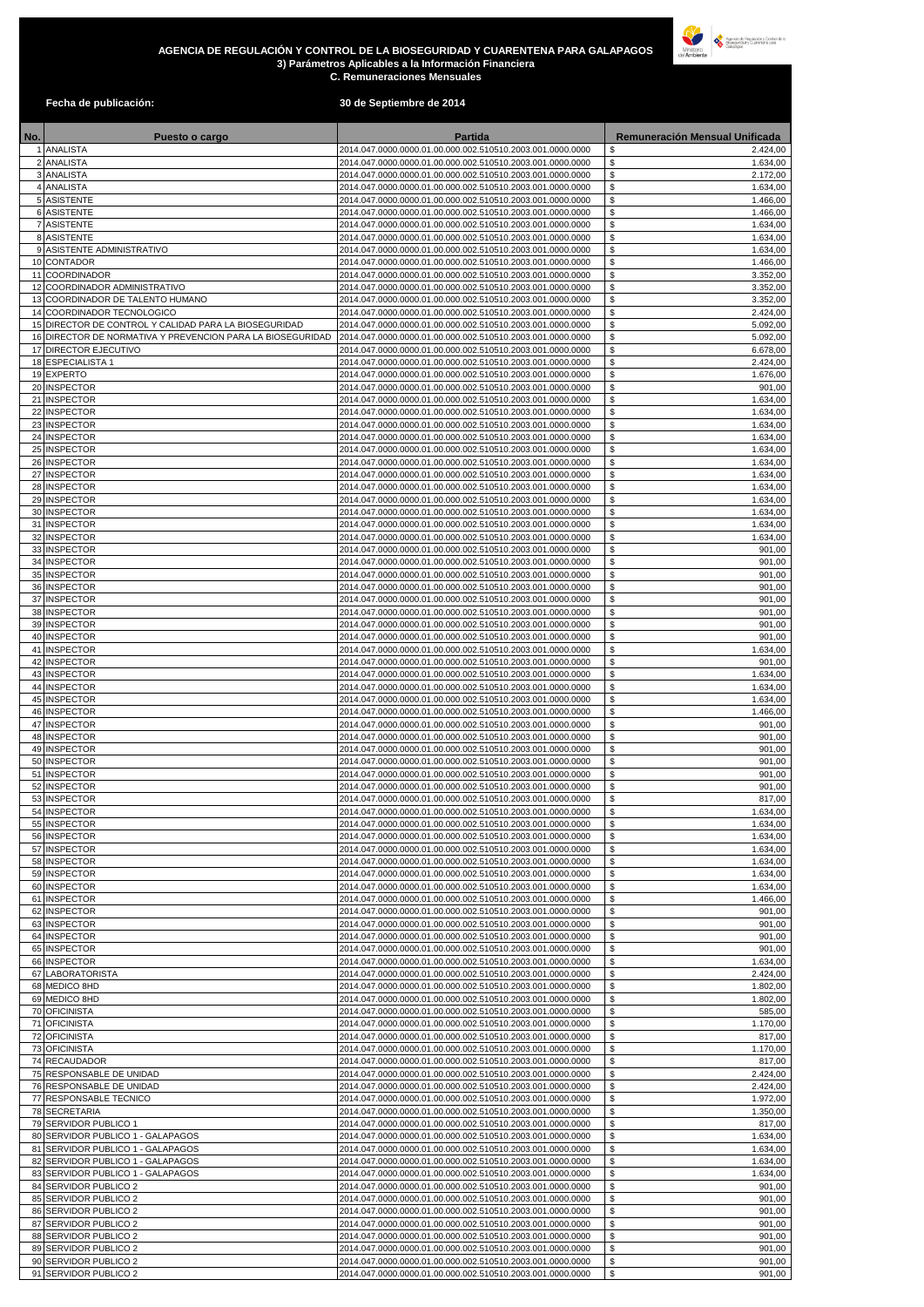## **AGENCIA DE REGULACIÓN Y CONTROL DE LA BIOSEGURIDAD Y CUARENTENA PARA GALAPAGOS 3) Parámetros Aplicables a la Información Financiera C. Remuneraciones Mensuales**



## **Fecha de publicación: 30 de Septiembre de 2014**

| No. | Puesto o cargo                                                         |                                                                                                                          | Partida |  | Remuneración Mensual Unificada   |
|-----|------------------------------------------------------------------------|--------------------------------------------------------------------------------------------------------------------------|---------|--|----------------------------------|
|     | 1 ANALISTA<br>2 ANALISTA                                               | 2014.047.0000.0000.01.00.000.002.510510.2003.001.0000.0000<br>2014.047.0000.0000.01.00.000.002.510510.2003.001.0000.0000 |         |  | \$<br>2.424,00<br>\$<br>1.634,00 |
|     | 3 ANALISTA                                                             | 2014.047.0000.0000.01.00.000.002.510510.2003.001.0000.0000                                                               |         |  | \$<br>2.172,00                   |
|     | 4 ANALISTA                                                             | 2014.047.0000.0000.01.00.000.002.510510.2003.001.0000.0000                                                               |         |  | \$<br>1.634,00                   |
|     | 5 ASISTENTE<br>6 ASISTENTE                                             | 2014.047.0000.0000.01.00.000.002.510510.2003.001.0000.0000<br>2014.047.0000.0000.01.00.000.002.510510.2003.001.0000.0000 |         |  | \$<br>1.466,00<br>\$<br>1.466,00 |
|     | 7 ASISTENTE                                                            | 2014.047.0000.0000.01.00.000.002.510510.2003.001.0000.0000                                                               |         |  | \$<br>1.634,00                   |
|     | 8 ASISTENTE                                                            | 2014.047.0000.0000.01.00.000.002.510510.2003.001.0000.0000                                                               |         |  | \$<br>1.634,00                   |
|     | 9 ASISTENTE ADMINISTRATIVO<br>10 CONTADOR                              | 2014.047.0000.0000.01.00.000.002.510510.2003.001.0000.0000<br>2014.047.0000.0000.01.00.000.002.510510.2003.001.0000.0000 |         |  | \$<br>1.634,00<br>\$<br>1.466,00 |
|     | 11 COORDINADOR                                                         | 2014.047.0000.0000.01.00.000.002.510510.2003.001.0000.0000                                                               |         |  | \$<br>3.352,00                   |
|     | 12 COORDINADOR ADMINISTRATIVO                                          | 2014.047.0000.0000.01.00.000.002.510510.2003.001.0000.0000                                                               |         |  | \$<br>3.352,00                   |
|     | 13 COORDINADOR DE TALENTO HUMANO<br>14 COORDINADOR TECNOLOGICO         | 2014.047.0000.0000.01.00.000.002.510510.2003.001.0000.0000<br>2014.047.0000.0000.01.00.000.002.510510.2003.001.0000.0000 |         |  | \$<br>3.352,00<br>\$<br>2.424,00 |
|     | 15 DIRECTOR DE CONTROL Y CALIDAD PARA LA BIOSEGURIDAD                  | 2014.047.0000.0000.01.00.000.002.510510.2003.001.0000.0000                                                               |         |  | \$<br>5.092,00                   |
|     | 16 DIRECTOR DE NORMATIVA Y PREVENCION PARA LA BIOSEGURIDAD             | 2014.047.0000.0000.01.00.000.002.510510.2003.001.0000.0000                                                               |         |  | \$<br>5.092,00                   |
|     | 17 DIRECTOR EJECUTIVO<br>18 ESPECIALISTA 1                             | 2014.047.0000.0000.01.00.000.002.510510.2003.001.0000.0000<br>2014.047.0000.0000.01.00.000.002.510510.2003.001.0000.0000 |         |  | \$<br>6.678,00<br>\$<br>2.424,00 |
|     | 19 EXPERTO                                                             | 2014.047.0000.0000.01.00.000.002.510510.2003.001.0000.0000                                                               |         |  | \$<br>1.676,00                   |
|     | 20 INSPECTOR                                                           | 2014.047.0000.0000.01.00.000.002.510510.2003.001.0000.0000                                                               |         |  | \$<br>901,00                     |
|     | 21 INSPECTOR<br>22 INSPECTOR                                           | 2014.047.0000.0000.01.00.000.002.510510.2003.001.0000.0000<br>2014.047.0000.0000.01.00.000.002.510510.2003.001.0000.0000 |         |  | \$<br>1.634,00<br>\$<br>1.634,00 |
|     | 23 INSPECTOR                                                           | 2014.047.0000.0000.01.00.000.002.510510.2003.001.0000.0000                                                               |         |  | \$<br>1.634,00                   |
|     | 24 INSPECTOR                                                           | 2014.047.0000.0000.01.00.000.002.510510.2003.001.0000.0000                                                               |         |  | \$<br>1.634,00                   |
|     | 25 INSPECTOR<br>26 INSPECTOR                                           | 2014.047.0000.0000.01.00.000.002.510510.2003.001.0000.0000<br>2014.047.0000.0000.01.00.000.002.510510.2003.001.0000.0000 |         |  | \$<br>1.634,00<br>\$<br>1.634,00 |
|     | 27 INSPECTOR                                                           | 2014.047.0000.0000.01.00.000.002.510510.2003.001.0000.0000                                                               |         |  | \$<br>1.634,00                   |
|     | 28 INSPECTOR                                                           | 2014.047.0000.0000.01.00.000.002.510510.2003.001.0000.0000                                                               |         |  | \$<br>1.634,00                   |
|     | 29 INSPECTOR<br>30 INSPECTOR                                           | 2014.047.0000.0000.01.00.000.002.510510.2003.001.0000.0000<br>2014.047.0000.0000.01.00.000.002.510510.2003.001.0000.0000 |         |  | \$<br>1.634,00<br>\$<br>1.634,00 |
|     | 31 INSPECTOR                                                           | 2014.047.0000.0000.01.00.000.002.510510.2003.001.0000.0000                                                               |         |  | \$<br>1.634,00                   |
|     | 32 INSPECTOR                                                           | 2014.047.0000.0000.01.00.000.002.510510.2003.001.0000.0000                                                               |         |  | \$<br>1.634,00                   |
|     | 33 INSPECTOR<br>34 INSPECTOR                                           | 2014.047.0000.0000.01.00.000.002.510510.2003.001.0000.0000<br>2014.047.0000.0000.01.00.000.002.510510.2003.001.0000.0000 |         |  | \$<br>901,00<br>\$<br>901,00     |
|     | 35 INSPECTOR                                                           | 2014.047.0000.0000.01.00.000.002.510510.2003.001.0000.0000                                                               |         |  | \$<br>901,00                     |
|     | 36 INSPECTOR                                                           | 2014.047.0000.0000.01.00.000.002.510510.2003.001.0000.0000                                                               |         |  | \$<br>901,00                     |
|     | 37 INSPECTOR<br>38 INSPECTOR                                           | 2014.047.0000.0000.01.00.000.002.510510.2003.001.0000.0000<br>2014.047.0000.0000.01.00.000.002.510510.2003.001.0000.0000 |         |  | \$<br>901,00<br>\$<br>901,00     |
|     | 39 INSPECTOR                                                           | 2014.047.0000.0000.01.00.000.002.510510.2003.001.0000.0000                                                               |         |  | \$<br>901,00                     |
|     | 40 INSPECTOR                                                           | 2014.047.0000.0000.01.00.000.002.510510.2003.001.0000.0000                                                               |         |  | \$<br>901,00                     |
|     | 41 INSPECTOR<br>42 INSPECTOR                                           | 2014.047.0000.0000.01.00.000.002.510510.2003.001.0000.0000                                                               |         |  | \$<br>1.634,00<br>\$<br>901,00   |
|     | 43 INSPECTOR                                                           | 2014.047.0000.0000.01.00.000.002.510510.2003.001.0000.0000<br>2014.047.0000.0000.01.00.000.002.510510.2003.001.0000.0000 |         |  | \$<br>1.634,00                   |
|     | 44 INSPECTOR                                                           | 2014.047.0000.0000.01.00.000.002.510510.2003.001.0000.0000                                                               |         |  | \$<br>1.634,00                   |
|     | 45 INSPECTOR<br>46 INSPECTOR                                           | 2014.047.0000.0000.01.00.000.002.510510.2003.001.0000.0000<br>2014.047.0000.0000.01.00.000.002.510510.2003.001.0000.0000 |         |  | \$<br>1.634,00<br>\$<br>1.466,00 |
|     | 47 INSPECTOR                                                           | 2014.047.0000.0000.01.00.000.002.510510.2003.001.0000.0000                                                               |         |  | \$<br>901,00                     |
|     | 48 INSPECTOR                                                           | 2014.047.0000.0000.01.00.000.002.510510.2003.001.0000.0000                                                               |         |  | \$<br>901,00                     |
|     | 49 INSPECTOR                                                           | 2014.047.0000.0000.01.00.000.002.510510.2003.001.0000.0000                                                               |         |  | \$<br>901,00<br>\$<br>901,00     |
|     | 50 INSPECTOR<br>51 INSPECTOR                                           | 2014.047.0000.0000.01.00.000.002.510510.2003.001.0000.0000<br>2014.047.0000.0000.01.00.000.002.510510.2003.001.0000.0000 |         |  | \$<br>901,00                     |
|     | 52 INSPECTOR                                                           | 2014.047.0000.0000.01.00.000.002.510510.2003.001.0000.0000                                                               |         |  | \$<br>901.00                     |
|     | 53 INSPECTOR<br>54 INSPECTOR                                           | 2014.047.0000.0000.01.00.000.002.510510.2003.001.0000.0000<br>2014.047.0000.0000.01.00.000.002.510510.2003.001.0000.0000 |         |  | \$<br>817,00<br>1.634,00<br>\$   |
|     | 55 INSPECTOR                                                           | 2014.047.0000.0000.01.00.000.002.510510.2003.001.0000.0000                                                               |         |  | \$<br>1.634,00                   |
|     | 56 INSPECTOR                                                           | 2014.047.0000.0000.01.00.000.002.510510.2003.001.0000.0000                                                               |         |  | \$<br>1.634,00                   |
|     | 57 INSPECTOR<br>58 INSPECTOR                                           | 2014.047.0000.0000.01.00.000.002.510510.2003.001.0000.0000<br>2014.047.0000.0000.01.00.000.002.510510.2003.001.0000.0000 |         |  | \$<br>1.634,00<br>\$<br>1.634,00 |
|     | 59 INSPECTOR                                                           | 2014.047.0000.0000.01.00.000.002.510510.2003.001.0000.0000                                                               |         |  | $$\mathbb{S}$$<br>1.634,00       |
|     | 60 INSPECTOR                                                           | 2014.047.0000.0000.01.00.000.002.510510.2003.001.0000.0000                                                               |         |  | \$<br>1.634,00                   |
|     | 61 INSPECTOR<br>62 INSPECTOR                                           | 2014.047.0000.0000.01.00.000.002.510510.2003.001.0000.0000<br>2014.047.0000.0000.01.00.000.002.510510.2003.001.0000.0000 |         |  | \$<br>1.466,00<br>\$<br>901,00   |
|     | 63 INSPECTOR                                                           | 2014.047.0000.0000.01.00.000.002.510510.2003.001.0000.0000                                                               |         |  | \$<br>901.00                     |
|     | 64 INSPECTOR                                                           | 2014.047.0000.0000.01.00.000.002.510510.2003.001.0000.0000                                                               |         |  | \$<br>901,00                     |
|     | 65 INSPECTOR<br>66 INSPECTOR                                           | 2014.047.0000.0000.01.00.000.002.510510.2003.001.0000.0000<br>2014.047.0000.0000.01.00.000.002.510510.2003.001.0000.0000 |         |  | \$<br>901,00<br>\$<br>1.634,00   |
|     | 67 LABORATORISTA                                                       | 2014.047.0000.0000.01.00.000.002.510510.2003.001.0000.0000                                                               |         |  | \$<br>2.424,00                   |
|     | 68 MEDICO 8HD                                                          | 2014.047.0000.0000.01.00.000.002.510510.2003.001.0000.0000                                                               |         |  | \$<br>1.802,00                   |
|     | 69 MEDICO 8HD<br>70 OFICINISTA                                         | 2014.047.0000.0000.01.00.000.002.510510.2003.001.0000.0000<br>2014.047.0000.0000.01.00.000.002.510510.2003.001.0000.0000 |         |  | \$<br>1.802,00<br>\$<br>585,00   |
|     | 71 OFICINISTA                                                          | 2014.047.0000.0000.01.00.000.002.510510.2003.001.0000.0000                                                               |         |  | \$<br>1.170,00                   |
|     | 72 OFICINISTA                                                          | 2014.047.0000.0000.01.00.000.002.510510.2003.001.0000.0000                                                               |         |  | \$<br>817,00                     |
|     | 73 OFICINISTA<br>74 RECAUDADOR                                         | 2014.047.0000.0000.01.00.000.002.510510.2003.001.0000.0000<br>2014.047.0000.0000.01.00.000.002.510510.2003.001.0000.0000 |         |  | \$<br>1.170,00<br>\$<br>817,00   |
|     | 75 RESPONSABLE DE UNIDAD                                               | 2014.047.0000.0000.01.00.000.002.510510.2003.001.0000.0000                                                               |         |  | \$<br>2.424,00                   |
|     | 76 RESPONSABLE DE UNIDAD                                               | 2014.047.0000.0000.01.00.000.002.510510.2003.001.0000.0000                                                               |         |  | \$<br>2.424,00                   |
|     | 77 RESPONSABLE TECNICO<br>78 SECRETARIA                                | 2014.047.0000.0000.01.00.000.002.510510.2003.001.0000.0000<br>2014.047.0000.0000.01.00.000.002.510510.2003.001.0000.0000 |         |  | \$<br>1.972,00<br>\$<br>1.350,00 |
|     | 79 SERVIDOR PUBLICO 1                                                  | 2014.047.0000.0000.01.00.000.002.510510.2003.001.0000.0000                                                               |         |  | \$<br>817,00                     |
|     | 80 SERVIDOR PUBLICO 1 - GALAPAGOS                                      | 2014.047.0000.0000.01.00.000.002.510510.2003.001.0000.0000                                                               |         |  | \$<br>1.634,00                   |
|     | 81 SERVIDOR PUBLICO 1 - GALAPAGOS<br>82 SERVIDOR PUBLICO 1 - GALAPAGOS | 2014.047.0000.0000.01.00.000.002.510510.2003.001.0000.0000<br>2014.047.0000.0000.01.00.000.002.510510.2003.001.0000.0000 |         |  | \$<br>1.634,00<br>\$<br>1.634,00 |
|     | 83 SERVIDOR PUBLICO 1 - GALAPAGOS                                      | 2014.047.0000.0000.01.00.000.002.510510.2003.001.0000.0000                                                               |         |  | \$<br>1.634,00                   |
|     | 84 SERVIDOR PUBLICO 2                                                  | 2014.047.0000.0000.01.00.000.002.510510.2003.001.0000.0000                                                               |         |  | \$<br>901,00                     |
|     | 85 SERVIDOR PUBLICO 2<br>86 SERVIDOR PUBLICO 2                         | 2014.047.0000.0000.01.00.000.002.510510.2003.001.0000.0000<br>2014.047.0000.0000.01.00.000.002.510510.2003.001.0000.0000 |         |  | \$<br>901,00<br>\$<br>901,00     |
|     | 87 SERVIDOR PUBLICO 2                                                  | 2014.047.0000.0000.01.00.000.002.510510.2003.001.0000.0000                                                               |         |  | \$<br>901,00                     |
|     | 88 SERVIDOR PUBLICO 2                                                  | 2014.047.0000.0000.01.00.000.002.510510.2003.001.0000.0000                                                               |         |  | \$<br>901,00                     |
|     | 89 SERVIDOR PUBLICO 2<br>90 SERVIDOR PUBLICO 2                         | 2014.047.0000.0000.01.00.000.002.510510.2003.001.0000.0000<br>2014.047.0000.0000.01.00.000.002.510510.2003.001.0000.0000 |         |  | \$<br>901,00<br>\$<br>901,00     |
|     | 91 SERVIDOR PUBLICO 2                                                  | 2014.047.0000.0000.01.00.000.002.510510.2003.001.0000.0000                                                               |         |  | \$<br>901,00                     |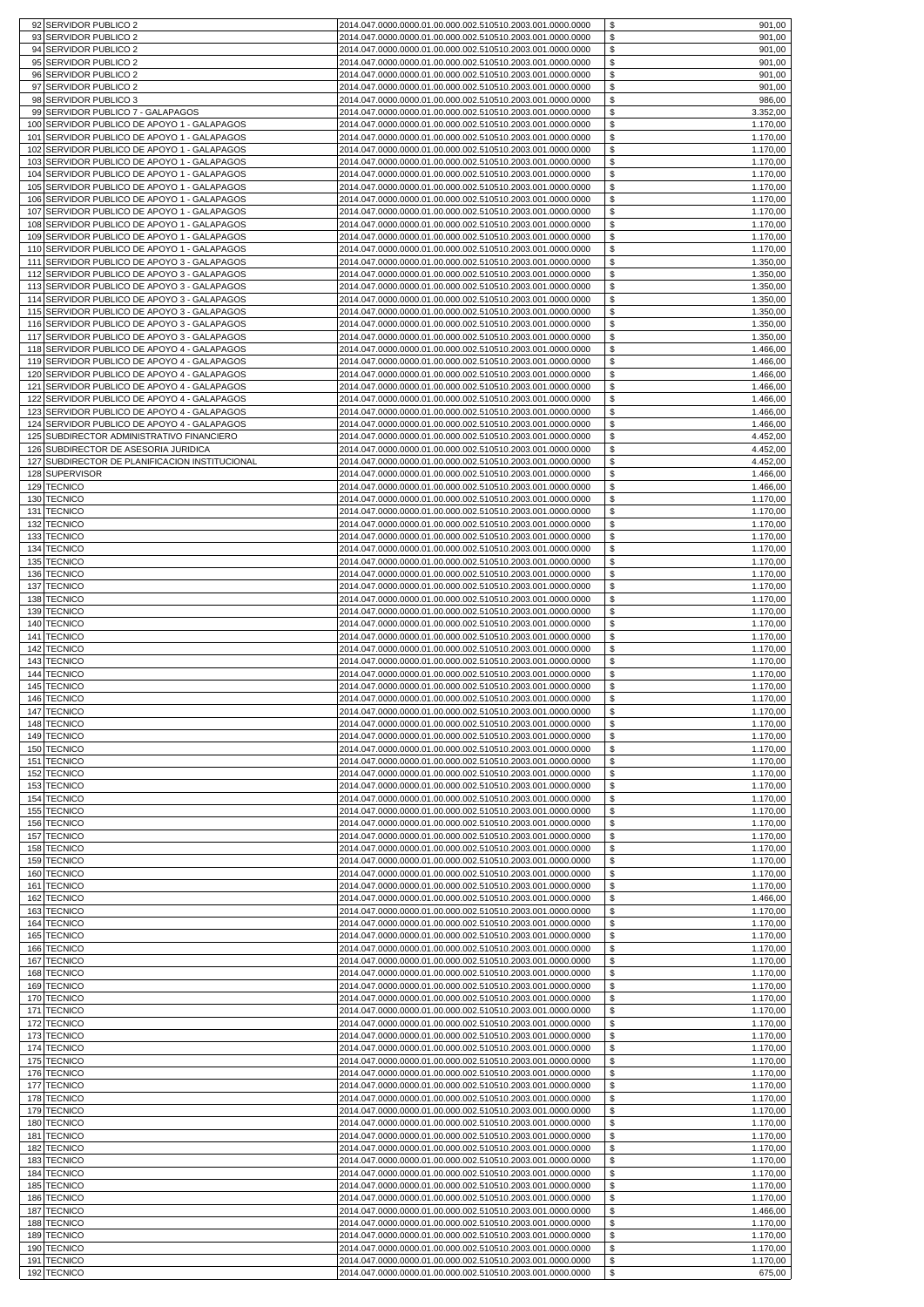|            | 92 SERVIDOR PUBLICO 2                                                              | 2014.047.0000.0000.01.00.000.002.510510.2003.001.0000.0000<br>\$<br>901,00                                                                                               |  |
|------------|------------------------------------------------------------------------------------|--------------------------------------------------------------------------------------------------------------------------------------------------------------------------|--|
| 93         | <b>SERVIDOR PUBLICO 2</b>                                                          | \$<br>901,00<br>2014.047.0000.0000.01.00.000.002.510510.2003.001.0000.0000                                                                                               |  |
| 94<br>95   | SERVIDOR PUBLICO 2<br>SERVIDOR PUBLICO 2                                           | \$<br>2014.047.0000.0000.01.00.000.002.510510.2003.001.0000.0000<br>901,00<br>2014.047.0000.0000.01.00.000.002.510510.2003.001.0000.0000<br>\$<br>901,00                 |  |
| 96         | <b>SERVIDOR PUBLICO 2</b>                                                          | \$<br>901,00<br>2014.047.0000.0000.01.00.000.002.510510.2003.001.0000.0000                                                                                               |  |
| 97         | SERVIDOR PUBLICO 2                                                                 | \$<br>2014.047.0000.0000.01.00.000.002.510510.2003.001.0000.0000<br>901,00                                                                                               |  |
| 98         | SERVIDOR PUBLICO 3                                                                 | \$<br>2014.047.0000.0000.01.00.000.002.510510.2003.001.0000.0000<br>986,00                                                                                               |  |
| 99         | SERVIDOR PUBLICO 7 - GALAPAGOS                                                     | \$<br>2014.047.0000.0000.01.00.000.002.510510.2003.001.0000.0000<br>3.352,00                                                                                             |  |
| 100<br>101 | SERVIDOR PUBLICO DE APOYO 1 - GALAPAGOS<br>SERVIDOR PUBLICO DE APOYO 1 - GALAPAGOS | \$<br>2014.047.0000.0000.01.00.000.002.510510.2003.001.0000.0000<br>1.170,00<br>2014.047.0000.0000.01.00.000.002.510510.2003.001.0000.0000<br>\$<br>1.170,00             |  |
| 102        | SERVIDOR PUBLICO DE APOYO 1 - GALAPAGOS                                            | \$<br>2014.047.0000.0000.01.00.000.002.510510.2003.001.0000.0000<br>1.170,00                                                                                             |  |
| 103        | SERVIDOR PUBLICO DE APOYO 1 - GALAPAGOS                                            | 2014.047.0000.0000.01.00.000.002.510510.2003.001.0000.0000<br>\$<br>1.170,00                                                                                             |  |
| 104        | SERVIDOR PUBLICO DE APOYO 1 - GALAPAGOS                                            | 2014.047.0000.0000.01.00.000.002.510510.2003.001.0000.0000<br>\$<br>1.170,00                                                                                             |  |
| 105        | SERVIDOR PUBLICO DE APOYO 1 - GALAPAGOS                                            | \$<br>2014.047.0000.0000.01.00.000.002.510510.2003.001.0000.0000<br>1.170,00                                                                                             |  |
| 106<br>107 | SERVIDOR PUBLICO DE APOYO 1 - GALAPAGOS<br>SERVIDOR PUBLICO DE APOYO 1 - GALAPAGOS | 2014.047.0000.0000.01.00.000.002.510510.2003.001.0000.0000<br>\$<br>1.170,00<br>2014.047.0000.0000.01.00.000.002.510510.2003.001.0000.0000<br>\$<br>1.170,00             |  |
| 108        | SERVIDOR PUBLICO DE APOYO 1 - GALAPAGOS                                            | 2014.047.0000.0000.01.00.000.002.510510.2003.001.0000.0000<br>\$<br>1.170,00                                                                                             |  |
| 109        | SERVIDOR PUBLICO DE APOYO 1 - GALAPAGOS                                            | 2014.047.0000.0000.01.00.000.002.510510.2003.001.0000.0000<br>\$<br>1.170,00                                                                                             |  |
| 110        | SERVIDOR PUBLICO DE APOYO 1 - GALAPAGOS                                            | 2014.047.0000.0000.01.00.000.002.510510.2003.001.0000.0000<br>\$<br>1.170,00                                                                                             |  |
| 111<br>112 | SERVIDOR PUBLICO DE APOYO 3 - GALAPAGOS<br>SERVIDOR PUBLICO DE APOYO 3 - GALAPAGOS | 2014.047.0000.0000.01.00.000.002.510510.2003.001.0000.0000<br>\$<br>1.350,00<br>\$<br>2014.047.0000.0000.01.00.000.002.510510.2003.001.0000.0000<br>1.350,00             |  |
| 113        | SERVIDOR PUBLICO DE APOYO 3 - GALAPAGOS                                            | 1.350,00<br>\$<br>2014.047.0000.0000.01.00.000.002.510510.2003.001.0000.0000                                                                                             |  |
| 114        | SERVIDOR PUBLICO DE APOYO 3 - GALAPAGOS                                            | 2014.047.0000.0000.01.00.000.002.510510.2003.001.0000.0000<br>\$<br>1.350,00                                                                                             |  |
| 115        | SERVIDOR PUBLICO DE APOYO 3 - GALAPAGOS                                            | \$<br>2014.047.0000.0000.01.00.000.002.510510.2003.001.0000.0000<br>1.350,00                                                                                             |  |
| 116<br>117 | SERVIDOR PUBLICO DE APOYO 3 - GALAPAGOS<br>SERVIDOR PUBLICO DE APOYO 3 - GALAPAGOS | 2014.047.0000.0000.01.00.000.002.510510.2003.001.0000.0000<br>\$<br>1.350,00<br>2014.047.0000.0000.01.00.000.002.510510.2003.001.0000.0000<br>\$<br>1.350,00             |  |
| 118        | SERVIDOR PUBLICO DE APOYO 4 - GALAPAGOS                                            | \$<br>2014.047.0000.0000.01.00.000.002.510510.2003.001.0000.0000<br>1.466,00                                                                                             |  |
| 119        | SERVIDOR PUBLICO DE APOYO 4 - GALAPAGOS                                            | 2014.047.0000.0000.01.00.000.002.510510.2003.001.0000.0000<br>\$<br>1.466,00                                                                                             |  |
| 120        | SERVIDOR PUBLICO DE APOYO 4 - GALAPAGOS                                            | \$<br>2014.047.0000.0000.01.00.000.002.510510.2003.001.0000.0000<br>1.466,00                                                                                             |  |
| 121        | SERVIDOR PUBLICO DE APOYO 4 - GALAPAGOS                                            | \$<br>2014.047.0000.0000.01.00.000.002.510510.2003.001.0000.0000<br>1.466,00<br>2014.047.0000.0000.01.00.000.002.510510.2003.001.0000.0000                               |  |
| 122<br>123 | SERVIDOR PUBLICO DE APOYO 4 - GALAPAGOS<br>SERVIDOR PUBLICO DE APOYO 4 - GALAPAGOS | \$<br>1.466,00<br>\$<br>2014.047.0000.0000.01.00.000.002.510510.2003.001.0000.0000<br>1.466,00                                                                           |  |
| 124        | SERVIDOR PUBLICO DE APOYO 4 - GALAPAGOS                                            | \$<br>2014.047.0000.0000.01.00.000.002.510510.2003.001.0000.0000<br>1.466,00                                                                                             |  |
| 125        | SUBDIRECTOR ADMINISTRATIVO FINANCIERO                                              | 2014.047.0000.0000.01.00.000.002.510510.2003.001.0000.0000<br>\$<br>4.452,00                                                                                             |  |
| 126        | SUBDIRECTOR DE ASESORIA JURIDICA                                                   | \$<br>2014.047.0000.0000.01.00.000.002.510510.2003.001.0000.0000<br>4.452,00                                                                                             |  |
| 127<br>128 | SUBDIRECTOR DE PLANIFICACION INSTITUCIONAL<br><b>SUPERVISOR</b>                    | \$<br>2014.047.0000.0000.01.00.000.002.510510.2003.001.0000.0000<br>4.452,00<br>2014.047.0000.0000.01.00.000.002.510510.2003.001.0000.0000<br>\$<br>1.466,00             |  |
| 129        | <b>TECNICO</b>                                                                     | \$<br>2014.047.0000.0000.01.00.000.002.510510.2003.001.0000.0000<br>1.466,00                                                                                             |  |
| 130        | <b>TECNICO</b>                                                                     | 2014.047.0000.0000.01.00.000.002.510510.2003.001.0000.0000<br>\$<br>1.170,00                                                                                             |  |
| 131        | <b>TECNICO</b>                                                                     | 2014.047.0000.0000.01.00.000.002.510510.2003.001.0000.0000<br>\$<br>1.170,00                                                                                             |  |
| 132<br>133 | <b>TECNICO</b><br><b>TECNICO</b>                                                   | \$<br>2014.047.0000.0000.01.00.000.002.510510.2003.001.0000.0000<br>1.170,00<br>2014.047.0000.0000.01.00.000.002.510510.2003.001.0000.0000<br>\$<br>1.170,00             |  |
|            | 134 TECNICO                                                                        | \$<br>1.170,00<br>2014.047.0000.0000.01.00.000.002.510510.2003.001.0000.0000                                                                                             |  |
| 135        | <b>TECNICO</b>                                                                     | \$<br>1.170,00<br>2014.047.0000.0000.01.00.000.002.510510.2003.001.0000.0000                                                                                             |  |
|            | 136 TECNICO                                                                        | 2014.047.0000.0000.01.00.000.002.510510.2003.001.0000.0000<br>\$<br>1.170,00                                                                                             |  |
|            | 137 TECNICO                                                                        | \$<br>1.170,00<br>2014.047.0000.0000.01.00.000.002.510510.2003.001.0000.0000<br>\$                                                                                       |  |
|            | 138 TECNICO<br>139 TECNICO                                                         | 2014.047.0000.0000.01.00.000.002.510510.2003.001.0000.0000<br>1.170,00<br>2014.047.0000.0000.01.00.000.002.510510.2003.001.0000.0000<br>\$<br>1.170,00                   |  |
|            | 140 TECNICO                                                                        | \$<br>2014.047.0000.0000.01.00.000.002.510510.2003.001.0000.0000<br>1.170,00                                                                                             |  |
| 141        | <b>TECNICO</b>                                                                     | \$<br>2014.047.0000.0000.01.00.000.002.510510.2003.001.0000.0000<br>1.170,00                                                                                             |  |
|            | 142 TECNICO                                                                        | \$<br>2014.047.0000.0000.01.00.000.002.510510.2003.001.0000.0000<br>1.170,00                                                                                             |  |
| 143        | <b>TECNICO</b><br>144 TECNICO                                                      | \$<br>2014.047.0000.0000.01.00.000.002.510510.2003.001.0000.0000<br>1.170,00<br>\$<br>2014.047.0000.0000.01.00.000.002.510510.2003.001.0000.0000<br>1.170,00             |  |
| 145        | <b>TECNICO</b>                                                                     | 2014.047.0000.0000.01.00.000.002.510510.2003.001.0000.0000<br>\$<br>1.170.00                                                                                             |  |
|            | 146 TECNICO                                                                        | \$<br>2014.047.0000.0000.01.00.000.002.510510.2003.001.0000.0000<br>1.170,00                                                                                             |  |
|            | 147 TECNICO                                                                        | \$<br>2014.047.0000.0000.01.00.000.002.510510.2003.001.0000.0000<br>1.170,00                                                                                             |  |
|            | 148 TECNICO<br>149 TECNICO                                                         | 2014.047.0000.0000.01.00.000.002.510510.2003.001.0000.0000<br>\$<br>1.170,00<br>\$<br>2014.047.0000.0000.01.00.000.002.510510.2003.001.0000.0000<br>1.170,00             |  |
|            | 150 TECNICO                                                                        | 2014.047.0000.0000.01.00.000.002.510510.2003.001.0000.0000<br>\$<br>1.170,00                                                                                             |  |
|            | 151 TECNICO                                                                        | \$<br>2014.047.0000.0000.01.00.000.002.510510.2003.001.0000.0000<br>1.170,00                                                                                             |  |
|            | 152 TECNICO                                                                        | \$<br>2014.047.0000.0000.01.00.000.002.510510.2003.001.0000.0000<br>1.170,00                                                                                             |  |
|            | 153 TECNICO<br>154 TECNICO                                                         | 2014.047.0000.0000.01.00.000.002.510510.2003.001.0000.0000<br>\$<br>1.170,00<br>\$<br>2014.047.0000.0000.01.00.000.002.510510.2003.001.0000.0000<br>1.170,00             |  |
| 155        | <b>TECNICO</b>                                                                     | 2014.047.0000.0000.01.00.000.002.510510.2003.001.0000.0000<br><sup>\$</sup><br>1.170,00                                                                                  |  |
|            | 156 TECNICO                                                                        | \$<br>2014.047.0000.0000.01.00.000.002.510510.2003.001.0000.0000<br>1.170,00                                                                                             |  |
|            | 157 TECNICO                                                                        | 2014.047.0000.0000.01.00.000.002.510510.2003.001.0000.0000<br>\$<br>1.170,00                                                                                             |  |
|            | 158 TECNICO<br>159 TECNICO                                                         | 2014.047.0000.0000.01.00.000.002.510510.2003.001.0000.0000<br>\$<br>1.170,00<br>\$<br>2014.047.0000.0000.01.00.000.002.510510.2003.001.0000.0000<br>1.170,00             |  |
|            | 160 TECNICO                                                                        | \$<br>2014.047.0000.0000.01.00.000.002.510510.2003.001.0000.0000<br>1.170,00                                                                                             |  |
| 161        | <b>TECNICO</b>                                                                     | 2014.047.0000.0000.01.00.000.002.510510.2003.001.0000.0000<br>\$<br>1.170,00                                                                                             |  |
|            | 162 TECNICO                                                                        | \$<br>2014.047.0000.0000.01.00.000.002.510510.2003.001.0000.0000<br>1.466,00                                                                                             |  |
|            | 163 TECNICO<br>164 TECNICO                                                         | \$<br>2014.047.0000.0000.01.00.000.002.510510.2003.001.0000.0000<br>1.170.00<br>\$                                                                                       |  |
|            | 165 TECNICO                                                                        | 2014.047.0000.0000.01.00.000.002.510510.2003.001.0000.0000<br>1.170,00<br>\$<br>2014.047.0000.0000.01.00.000.002.510510.2003.001.0000.0000<br>1.170,00                   |  |
|            | 166 TECNICO                                                                        | 2014.047.0000.0000.01.00.000.002.510510.2003.001.0000.0000<br>\$<br>1.170,00                                                                                             |  |
|            | 167 TECNICO                                                                        | \$<br>2014.047.0000.0000.01.00.000.002.510510.2003.001.0000.0000<br>1.170,00                                                                                             |  |
|            | 168 TECNICO                                                                        | \$<br>2014.047.0000.0000.01.00.000.002.510510.2003.001.0000.0000<br>1.170,00                                                                                             |  |
|            | 169 TECNICO<br>170 TECNICO                                                         | 2014.047.0000.0000.01.00.000.002.510510.2003.001.0000.0000<br>\$<br>1.170,00<br>\$<br>2014.047.0000.0000.01.00.000.002.510510.2003.001.0000.0000<br>1.170,00             |  |
| 171        | <b>TECNICO</b>                                                                     | $\mathbf{s}$<br>2014.047.0000.0000.01.00.000.002.510510.2003.001.0000.0000<br>1.170,00                                                                                   |  |
|            | 172 TECNICO                                                                        | 2014.047.0000.0000.01.00.000.002.510510.2003.001.0000.0000<br>\$<br>1.170,00                                                                                             |  |
|            | 173 TECNICO                                                                        | \$<br>2014.047.0000.0000.01.00.000.002.510510.2003.001.0000.0000<br>1.170,00<br>\$                                                                                       |  |
|            | 174 TECNICO<br>175 TECNICO                                                         | 2014.047.0000.0000.01.00.000.002.510510.2003.001.0000.0000<br>1.170,00<br>\$<br>1.170,00<br>2014.047.0000.0000.01.00.000.002.510510.2003.001.0000.0000                   |  |
|            | 176 TECNICO                                                                        | \$<br>1.170,00<br>2014.047.0000.0000.01.00.000.002.510510.2003.001.0000.0000                                                                                             |  |
| 177        | <b>TECNICO</b>                                                                     | 2014.047.0000.0000.01.00.000.002.510510.2003.001.0000.0000<br><sup>\$</sup><br>1.170,00                                                                                  |  |
|            | 178 TECNICO                                                                        | \$<br>2014.047.0000.0000.01.00.000.002.510510.2003.001.0000.0000<br>1.170,00                                                                                             |  |
|            | 179 TECNICO<br>180 TECNICO                                                         | \$<br>2014.047.0000.0000.01.00.000.002.510510.2003.001.0000.0000<br>1.170,00<br>2014.047.0000.0000.01.00.000.002.510510.2003.001.0000.0000<br>\$<br>1.170,00             |  |
|            | 181 TECNICO                                                                        | 2014.047.0000.0000.01.00.000.002.510510.2003.001.0000.0000<br>\$<br>1.170,00                                                                                             |  |
| 182        | <b>TECNICO</b>                                                                     | \$<br>2014.047.0000.0000.01.00.000.002.510510.2003.001.0000.0000<br>1.170,00                                                                                             |  |
|            | 183 TECNICO                                                                        | 2014.047.0000.0000.01.00.000.002.510510.2003.001.0000.0000<br>\$<br>1.170,00                                                                                             |  |
| 185        | 184 TECNICO<br><b>TECNICO</b>                                                      | \$<br>2014.047.0000.0000.01.00.000.002.510510.2003.001.0000.0000<br>1.170,00<br>$$\mathbb{S}$$<br>2014.047.0000.0000.01.00.000.002.510510.2003.001.0000.0000<br>1.170,00 |  |
|            | 186 TECNICO                                                                        | 2014.047.0000.0000.01.00.000.002.510510.2003.001.0000.0000<br>\$<br>1.170,00                                                                                             |  |
| 187        | <b>TECNICO</b>                                                                     | \$<br>2014.047.0000.0000.01.00.000.002.510510.2003.001.0000.0000<br>1.466,00                                                                                             |  |
| 188        | <b>TECNICO</b>                                                                     | \$<br>2014.047.0000.0000.01.00.000.002.510510.2003.001.0000.0000<br>1.170,00                                                                                             |  |
| 190        | 189 TECNICO<br><b>TECNICO</b>                                                      | \$<br>2014.047.0000.0000.01.00.000.002.510510.2003.001.0000.0000<br>1.170,00<br>\$<br>2014.047.0000.0000.01.00.000.002.510510.2003.001.0000.0000<br>1.170,00             |  |
| 191        | <b>TECNICO</b>                                                                     | \$<br>2014.047.0000.0000.01.00.000.002.510510.2003.001.0000.0000<br>1.170,00                                                                                             |  |
|            | 192 TECNICO                                                                        | 2014.047.0000.0000.01.00.000.002.510510.2003.001.0000.0000<br>\$<br>675,00                                                                                               |  |